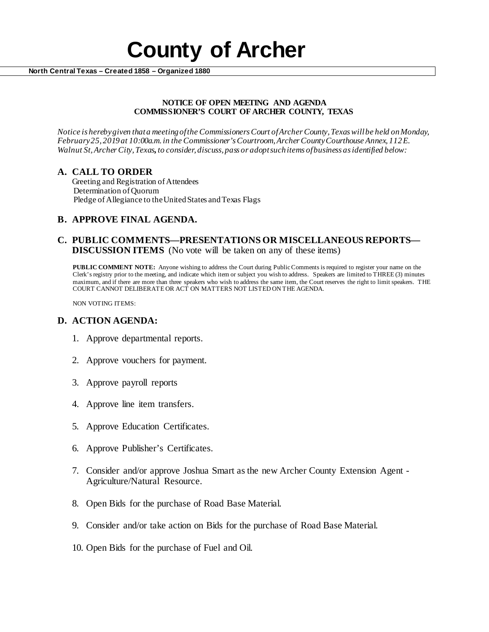# **County of Archer North Central Texas – Created 1858 – Organized 1880**

#### **NOTICE OF OPEN MEETING AND AGENDA COMMISSIONER'S COURT OF ARCHER COUNTY, TEXAS**

*Notice is hereby given that a meeting of the Commissioners Court of Archer County, Texas will be held onMonday, February 25, 2019at 10:00a.m. in the Commissioner's Courtroom, Archer County Courthouse Annex, 112 E. Walnut St, Archer City, Texas, to consider, discuss, pass or adopt such items of business as identified below:*

# **A. CALL TO ORDER**

 Greeting and Registration of Attendees Determination of Quorum Pledge of Allegiance to the United States and Texas Flags

# **B. APPROVE FINAL AGENDA.**

#### **C. PUBLIC COMMENTS—PRESENTATIONS OR MISCELLANEOUS REPORTS— DISCUSSION ITEMS** (No vote will be taken on any of these items)

**PUBLIC COMMENT NOTE:** Anyone wishing to address the Court during Public Comments is required to register your name on the Clerk's registry prior to the meeting, and indicate which item or subject you wish to address. Speakers are limited to THREE (3) minutes maximum, and if there are more than three speakers who wish to address the same item, the Court reserves the right to limit speakers. THE COURT CANNOT DELIBERATE OR ACT ON MATTERS NOT LISTED ON THE AGENDA.

NON VOTING ITEMS:

### **D. ACTION AGENDA:**

- 1. Approve departmental reports.
- 2. Approve vouchers for payment.
- 3. Approve payroll reports
- 4. Approve line item transfers.
- 5. Approve Education Certificates.
- 6. Approve Publisher's Certificates.
- 7. Consider and/or approve Joshua Smart as the new Archer County Extension Agent Agriculture/Natural Resource.
- 8. Open Bids for the purchase of Road Base Material.
- 9. Consider and/or take action on Bids for the purchase of Road Base Material.
- 10. Open Bids for the purchase of Fuel and Oil.